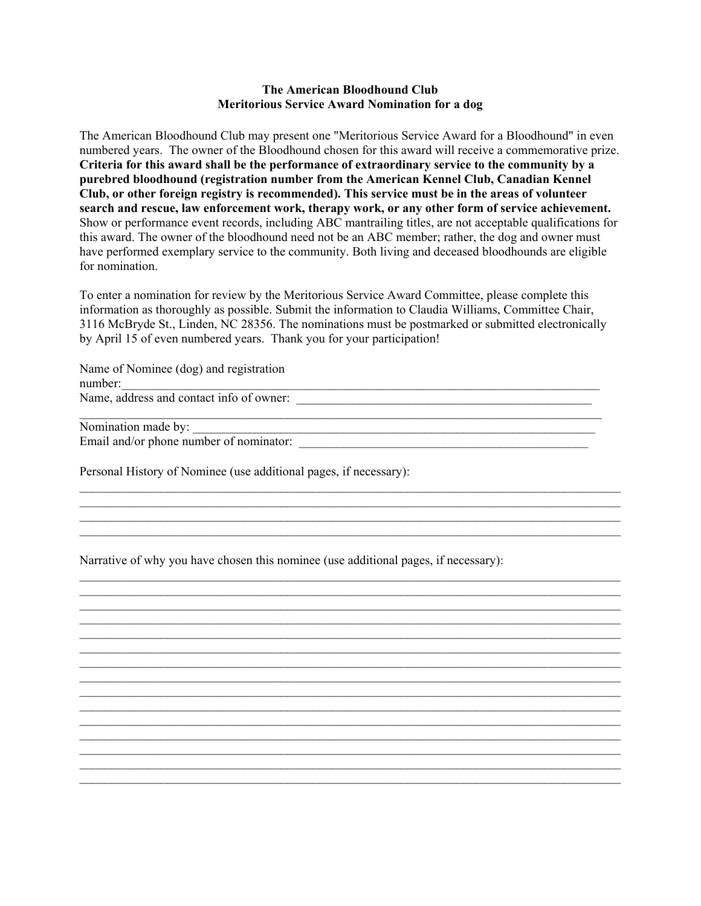## **The American Bloodhound Club Meritorious Service Award Nomination for a dog**

The American Bloodhound Club may present one "Meritorious Service Award for a Bloodhound" in even numbered years. The owner of the Bloodhound chosen for this award will receive a commemorative prize. **Criteria for this award shall be the performance of extraordinary service to the community by a purebred bloodhound (registration number from the American Kennel Club, Canadian Kennel Club, or other foreign registry is recommended). This service must be in the areas of volunteer search and rescue, law enforcement work, therapy work, or any other form of service achievement.** Show or performance event records, including ABC mantrailing titles, are not acceptable qualifications for this award. The owner of the bloodhound need not be an ABC member; rather, the dog and owner must have performed exemplary service to the community. Both living and deceased bloodhounds are eligible for nomination.

To enter a nomination for review by the Meritorious Service Award Committee, please complete this information as thoroughly as possible. Submit the information to Claudia Williams, Committee Chair, 3116 McBryde St., Linden, NC 28356. The nominations must be postmarked or submitted electronically by April 15 of even numbered years. Thank you for your participation!

 $\mathcal{L}_\mathcal{L} = \{ \mathcal{L}_\mathcal{L} = \{ \mathcal{L}_\mathcal{L} = \{ \mathcal{L}_\mathcal{L} = \{ \mathcal{L}_\mathcal{L} = \{ \mathcal{L}_\mathcal{L} = \{ \mathcal{L}_\mathcal{L} = \{ \mathcal{L}_\mathcal{L} = \{ \mathcal{L}_\mathcal{L} = \{ \mathcal{L}_\mathcal{L} = \{ \mathcal{L}_\mathcal{L} = \{ \mathcal{L}_\mathcal{L} = \{ \mathcal{L}_\mathcal{L} = \{ \mathcal{L}_\mathcal{L} = \{ \mathcal{L}_\mathcal{$ \_\_\_\_\_\_\_\_\_\_\_\_\_\_\_\_\_\_\_\_\_\_\_\_\_\_\_\_\_\_\_\_\_\_\_\_\_\_\_\_\_\_\_\_\_\_\_\_\_\_\_\_\_\_\_\_\_\_\_\_\_\_\_\_\_\_\_\_\_\_\_\_\_\_\_\_\_\_\_\_\_\_\_\_\_\_

 $\mathcal{L}_\mathcal{L} = \{ \mathcal{L}_\mathcal{L} = \{ \mathcal{L}_\mathcal{L} = \{ \mathcal{L}_\mathcal{L} = \{ \mathcal{L}_\mathcal{L} = \{ \mathcal{L}_\mathcal{L} = \{ \mathcal{L}_\mathcal{L} = \{ \mathcal{L}_\mathcal{L} = \{ \mathcal{L}_\mathcal{L} = \{ \mathcal{L}_\mathcal{L} = \{ \mathcal{L}_\mathcal{L} = \{ \mathcal{L}_\mathcal{L} = \{ \mathcal{L}_\mathcal{L} = \{ \mathcal{L}_\mathcal{L} = \{ \mathcal{L}_\mathcal{$  $\mathcal{L}_\mathcal{L} = \{ \mathcal{L}_\mathcal{L} = \{ \mathcal{L}_\mathcal{L} = \{ \mathcal{L}_\mathcal{L} = \{ \mathcal{L}_\mathcal{L} = \{ \mathcal{L}_\mathcal{L} = \{ \mathcal{L}_\mathcal{L} = \{ \mathcal{L}_\mathcal{L} = \{ \mathcal{L}_\mathcal{L} = \{ \mathcal{L}_\mathcal{L} = \{ \mathcal{L}_\mathcal{L} = \{ \mathcal{L}_\mathcal{L} = \{ \mathcal{L}_\mathcal{L} = \{ \mathcal{L}_\mathcal{L} = \{ \mathcal{L}_\mathcal{$ \_\_\_\_\_\_\_\_\_\_\_\_\_\_\_\_\_\_\_\_\_\_\_\_\_\_\_\_\_\_\_\_\_\_\_\_\_\_\_\_\_\_\_\_\_\_\_\_\_\_\_\_\_\_\_\_\_\_\_\_\_\_\_\_\_\_\_\_\_\_\_\_\_\_\_\_\_\_\_\_\_\_\_\_\_\_  $\mathcal{L}_\mathcal{L} = \{ \mathcal{L}_\mathcal{L} = \{ \mathcal{L}_\mathcal{L} = \{ \mathcal{L}_\mathcal{L} = \{ \mathcal{L}_\mathcal{L} = \{ \mathcal{L}_\mathcal{L} = \{ \mathcal{L}_\mathcal{L} = \{ \mathcal{L}_\mathcal{L} = \{ \mathcal{L}_\mathcal{L} = \{ \mathcal{L}_\mathcal{L} = \{ \mathcal{L}_\mathcal{L} = \{ \mathcal{L}_\mathcal{L} = \{ \mathcal{L}_\mathcal{L} = \{ \mathcal{L}_\mathcal{L} = \{ \mathcal{L}_\mathcal{$  $\mathcal{L}_\mathcal{L} = \{ \mathcal{L}_\mathcal{L} = \{ \mathcal{L}_\mathcal{L} = \{ \mathcal{L}_\mathcal{L} = \{ \mathcal{L}_\mathcal{L} = \{ \mathcal{L}_\mathcal{L} = \{ \mathcal{L}_\mathcal{L} = \{ \mathcal{L}_\mathcal{L} = \{ \mathcal{L}_\mathcal{L} = \{ \mathcal{L}_\mathcal{L} = \{ \mathcal{L}_\mathcal{L} = \{ \mathcal{L}_\mathcal{L} = \{ \mathcal{L}_\mathcal{L} = \{ \mathcal{L}_\mathcal{L} = \{ \mathcal{L}_\mathcal{$  $\mathcal{L}_\mathcal{L} = \{ \mathcal{L}_\mathcal{L} = \{ \mathcal{L}_\mathcal{L} = \{ \mathcal{L}_\mathcal{L} = \{ \mathcal{L}_\mathcal{L} = \{ \mathcal{L}_\mathcal{L} = \{ \mathcal{L}_\mathcal{L} = \{ \mathcal{L}_\mathcal{L} = \{ \mathcal{L}_\mathcal{L} = \{ \mathcal{L}_\mathcal{L} = \{ \mathcal{L}_\mathcal{L} = \{ \mathcal{L}_\mathcal{L} = \{ \mathcal{L}_\mathcal{L} = \{ \mathcal{L}_\mathcal{L} = \{ \mathcal{L}_\mathcal{$ \_\_\_\_\_\_\_\_\_\_\_\_\_\_\_\_\_\_\_\_\_\_\_\_\_\_\_\_\_\_\_\_\_\_\_\_\_\_\_\_\_\_\_\_\_\_\_\_\_\_\_\_\_\_\_\_\_\_\_\_\_\_\_\_\_\_\_\_\_\_\_\_\_\_\_\_\_\_\_\_\_\_\_\_\_\_

 $\mathcal{L}_\mathcal{L} = \{ \mathcal{L}_\mathcal{L} = \{ \mathcal{L}_\mathcal{L} = \{ \mathcal{L}_\mathcal{L} = \{ \mathcal{L}_\mathcal{L} = \{ \mathcal{L}_\mathcal{L} = \{ \mathcal{L}_\mathcal{L} = \{ \mathcal{L}_\mathcal{L} = \{ \mathcal{L}_\mathcal{L} = \{ \mathcal{L}_\mathcal{L} = \{ \mathcal{L}_\mathcal{L} = \{ \mathcal{L}_\mathcal{L} = \{ \mathcal{L}_\mathcal{L} = \{ \mathcal{L}_\mathcal{L} = \{ \mathcal{L}_\mathcal{$ 

 $\mathcal{L}_\mathcal{L} = \{ \mathcal{L}_\mathcal{L} = \{ \mathcal{L}_\mathcal{L} = \{ \mathcal{L}_\mathcal{L} = \{ \mathcal{L}_\mathcal{L} = \{ \mathcal{L}_\mathcal{L} = \{ \mathcal{L}_\mathcal{L} = \{ \mathcal{L}_\mathcal{L} = \{ \mathcal{L}_\mathcal{L} = \{ \mathcal{L}_\mathcal{L} = \{ \mathcal{L}_\mathcal{L} = \{ \mathcal{L}_\mathcal{L} = \{ \mathcal{L}_\mathcal{L} = \{ \mathcal{L}_\mathcal{L} = \{ \mathcal{L}_\mathcal{$  $\mathcal{L}_\mathcal{L} = \{ \mathcal{L}_\mathcal{L} = \{ \mathcal{L}_\mathcal{L} = \{ \mathcal{L}_\mathcal{L} = \{ \mathcal{L}_\mathcal{L} = \{ \mathcal{L}_\mathcal{L} = \{ \mathcal{L}_\mathcal{L} = \{ \mathcal{L}_\mathcal{L} = \{ \mathcal{L}_\mathcal{L} = \{ \mathcal{L}_\mathcal{L} = \{ \mathcal{L}_\mathcal{L} = \{ \mathcal{L}_\mathcal{L} = \{ \mathcal{L}_\mathcal{L} = \{ \mathcal{L}_\mathcal{L} = \{ \mathcal{L}_\mathcal{$  $\mathcal{L}_\mathcal{L} = \{ \mathcal{L}_\mathcal{L} = \{ \mathcal{L}_\mathcal{L} = \{ \mathcal{L}_\mathcal{L} = \{ \mathcal{L}_\mathcal{L} = \{ \mathcal{L}_\mathcal{L} = \{ \mathcal{L}_\mathcal{L} = \{ \mathcal{L}_\mathcal{L} = \{ \mathcal{L}_\mathcal{L} = \{ \mathcal{L}_\mathcal{L} = \{ \mathcal{L}_\mathcal{L} = \{ \mathcal{L}_\mathcal{L} = \{ \mathcal{L}_\mathcal{L} = \{ \mathcal{L}_\mathcal{L} = \{ \mathcal{L}_\mathcal{$  $\mathcal{L}_\mathcal{L} = \{ \mathcal{L}_\mathcal{L} = \{ \mathcal{L}_\mathcal{L} = \{ \mathcal{L}_\mathcal{L} = \{ \mathcal{L}_\mathcal{L} = \{ \mathcal{L}_\mathcal{L} = \{ \mathcal{L}_\mathcal{L} = \{ \mathcal{L}_\mathcal{L} = \{ \mathcal{L}_\mathcal{L} = \{ \mathcal{L}_\mathcal{L} = \{ \mathcal{L}_\mathcal{L} = \{ \mathcal{L}_\mathcal{L} = \{ \mathcal{L}_\mathcal{L} = \{ \mathcal{L}_\mathcal{L} = \{ \mathcal{L}_\mathcal{$ 

\_\_\_\_\_\_\_\_\_\_\_\_\_\_\_\_\_\_\_\_\_\_\_\_\_\_\_\_\_\_\_\_\_\_\_\_\_\_\_\_\_\_\_\_\_\_\_\_\_\_\_\_\_\_\_\_\_\_\_\_\_\_\_\_\_\_\_\_\_\_\_\_\_\_\_\_\_\_\_\_\_\_\_

Name of Nominee (dog) and registration number:\_\_\_\_\_\_\_\_\_\_\_\_\_\_\_\_\_\_\_\_\_\_\_\_\_\_\_\_\_\_\_\_\_\_\_\_\_\_\_\_\_\_\_\_\_\_\_\_\_\_\_\_\_\_\_\_\_\_\_\_\_\_\_\_\_\_\_\_\_\_\_\_\_\_\_\_ Name, address and contact info of owner: \_\_\_\_\_\_\_\_\_\_\_\_\_\_\_\_\_\_\_\_\_\_\_\_\_\_\_\_\_\_\_\_\_\_\_\_\_\_\_\_\_\_\_\_\_\_\_

Nomination made by: \_\_\_\_\_\_\_\_\_\_\_\_\_\_\_\_\_\_\_\_\_\_\_\_\_\_\_\_\_\_\_\_\_\_\_\_\_\_\_\_\_\_\_\_\_\_\_\_\_\_\_\_\_\_\_\_\_\_\_\_\_\_\_\_

Email and/or phone number of nominator: \_\_\_\_\_\_\_\_\_\_\_\_\_\_\_\_\_\_\_\_\_\_\_\_\_\_\_\_\_\_\_\_\_\_\_\_\_\_\_\_\_\_\_\_\_\_

Personal History of Nominee (use additional pages, if necessary):

Narrative of why you have chosen this nominee (use additional pages, if necessary):